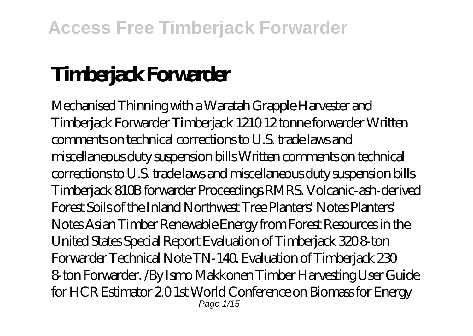# **Timberjack Forwarder**

Mechanised Thinning with a Waratah Grapple Harvester and Timberjack Forwarder Timberjack 1210 12 tonne forwarder Written comments on technical corrections to U.S. trade laws and miscellaneous duty suspension bills Written comments on technical corrections to U.S. trade laws and miscellaneous duty suspension bills Timberjack 810B forwarder Proceedings RMRS. Volcanic-ash-derived Forest Soils of the Inland Northwest Tree Planters' Notes Planters' Notes Asian Timber Renewable Energy from Forest Resources in the United States Special Report Evaluation of Timberjack 320 8-ton Forwarder Technical Note TN-140. Evaluation of Timberjack 230 8-ton Forwarder. /By Ismo Makkonen Timber Harvesting User Guide for HCR Estimator 2.0 1st World Conference on Biomass for Energy Page  $1/15$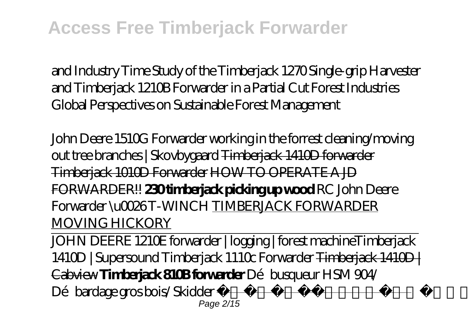and Industry Time Study of the Timberjack 1270 Single-grip Harvester and Timberjack 1210B Forwarder in a Partial Cut Forest Industries Global Perspectives on Sustainable Forest Management

*John Deere 1510G Forwarder working in the forrest cleaning/moving out tree branches | Skovbygaard* Timberjack 1410D forwarder Timberjack 1010D Forwarder HOW TO OPERATE A JD FORWARDER!! **230 timberjack picking up wood** RC John Deere Forwarder \u0026 T-WINCH TIMBERJACK FORWARDER MOVING HICKORY

JOHN DEERE 1210E forwarder | logging | forest machine*Timberjack 1410D | Supersound Timberjack 1110c Forwarder* Timberjack 1410D | Cabview **Timberjack 810B forwarder** *Débusqueur HSM 904/ Dé bardage gros bois/ Skidder* Best of Logging 2017 Page 2/15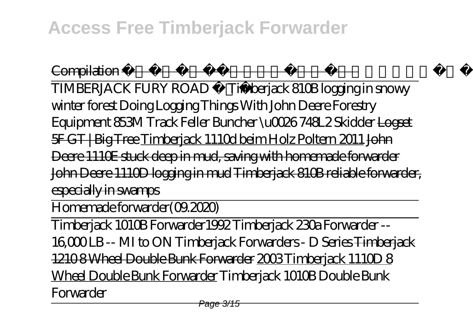Compilation Best of Logging Compilation TIMBERJACK FURY ROAD Timberjack 810B logging in snowy winter forest *Doing Logging Things With John Deere Forestry Equipment 853M Track Feller Buncher \u0026 748L2 Skidder* Logset 5F GT | Big Tree Timberjack 1110d beim Holz Poltern 2011 John Deere 1110E stuck deep in mud, saving with homemade forwarder John Deere 1110D logging in mud Timberjack 810B reliable forwarder, especially in swamps

Homemade forwarder(09.2020)

Timberjack 1010B Forwarder*1992 Timberjack 230a Forwarder -- 16,000 LB -- MI to ON Timberjack Forwarders - D Series* Timberjack 1210 8 Wheel Double Bunk Forwarder 2003 Timberjack 1110 0 Wheel Double Bunk Forwarder *Timberjack 1010B Double Bunk Forwarder*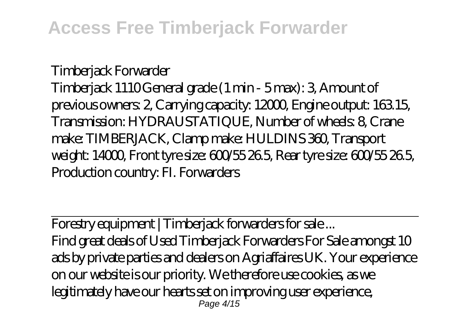Timberjack Forwarder Timberjack 1110 General grade (1 min - 5 max): 3, Amount of previous owners: 2, Carrying capacity: 12000, Engine output: 163.15, Transmission: HYDRAUSTATIQUE, Number of wheels: 8, Crane make: TIMBERJACK, Clamp make: HULDINS 360, Transport weight: 14000, Front tyre size: 600/55 26.5, Rear tyre size: 600/55 26.5, Production country: FI. Forwarders

Forestry equipment | Timberjack forwarders for sale ... Find great deals of Used Timberjack Forwarders For Sale amongst 10 ads by private parties and dealers on Agriaffaires UK. Your experience on our website is our priority. We therefore use cookies, as we legitimately have our hearts set on improving user experience, Page 4/15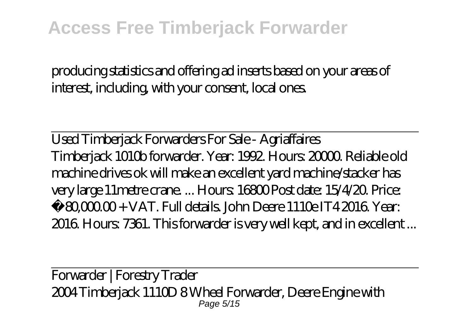producing statistics and offering ad inserts based on your areas of interest, including, with your consent, local ones.

Used Timberjack Forwarders For Sale - Agriaffaires Timberjack 1010b forwarder. Year: 1992. Hours: 20000. Reliable old machine drives ok will make an excellent yard machine/stacker has very large 11metre crane. ... Hours: 16800 Post date: 15/4/20. Price:  $£ 80,000 + VAT$ . Full details. John Deere 1110e IT4 2016. Year: 2016. Hours: 7361. This forwarder is very well kept, and in excellent ...

Forwarder | Forestry Trader 2004 Timberjack 1110D 8 Wheel Forwarder, Deere Engine with Page 5/15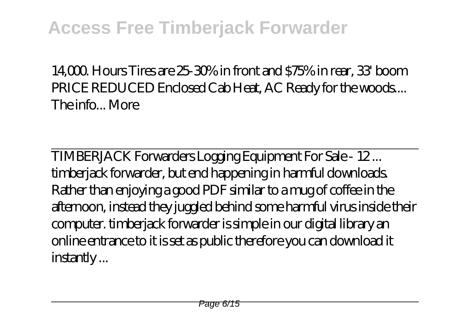$14,000$  Hours Tires are  $25.30\%$  in front and  $575\%$  in rear, 33 boom PRICE REDUCED Enclosed Cab Heat, AC Ready for the woods.... The info. More

TIMBERJACK Forwarders Logging Equipment For Sale - 12 ... timberjack forwarder, but end happening in harmful downloads. Rather than enjoying a good PDF similar to a mug of coffee in the afternoon, instead they juggled behind some harmful virus inside their computer. timberjack forwarder is simple in our digital library an online entrance to it is set as public therefore you can download it instantly ...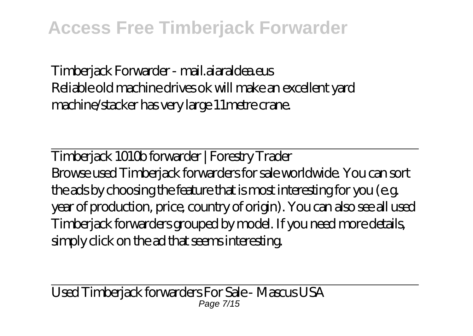Timberjack Forwarder - mail.aiaraldea.eus Reliable old machine drives ok will make an excellent yard machine/stacker has very large 11metre crane.

Timberjack 1010b forwarder | Forestry Trader Browse used Timberjack forwarders for sale worldwide. You can sort the ads by choosing the feature that is most interesting for you (e.g. year of production, price, country of origin). You can also see all used Timberjack forwarders grouped by model. If you need more details, simply click on the ad that seems interesting.

Used Timberjack forwarders For Sale - Mascus USA Page 7/15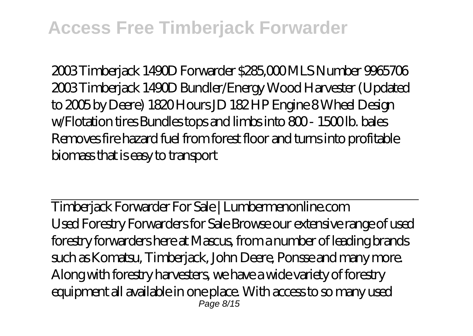2003 Timberjack 1490D Forwarder \$285,000 MLS Number 9965706 2003 Timberjack 1490D Bundler/Energy Wood Harvester (Updated to 2005 by Deere) 1820 Hours JD 182 HP Engine 8 Wheel Design w/Flotation tires Bundles tops and limbs into 800-1500lb. bales Removes fire hazard fuel from forest floor and turns into profitable biomass that is easy to transport

Timberjack Forwarder For Sale | Lumbermenonline.com Used Forestry Forwarders for Sale Browse our extensive range of used forestry forwarders here at Mascus, from a number of leading brands such as Komatsu, Timberjack, John Deere, Ponsse and many more. Along with forestry harvesters, we have a wide variety of forestry equipment all available in one place. With access to so many used Page 8/15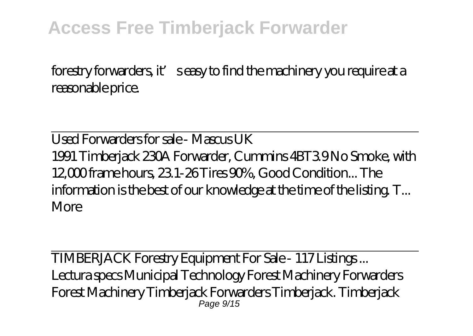forestry forwarders, it' seasy to find the machinery you require at a reasonable price.

Used Forwarders for sale - Mascus UK 1991 Timberjack 230A Forwarder, Cummins 4BT3.9 No Smoke, with 12,000 frame hours, 23.1-26 Tires 90%, Good Condition... The information is the best of our knowledge at the time of the listing. T... More

TIMBERJACK Forestry Equipment For Sale - 117 Listings ... Lectura specs Municipal Technology Forest Machinery Forwarders Forest Machinery Timberjack Forwarders Timberjack. Timberjack Page  $9/15$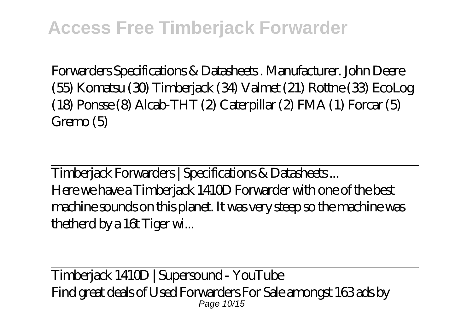Forwarders Specifications & Datasheets . Manufacturer. John Deere (55) Komatsu (30) Timberjack (34) Valmet (21) Rottne (33) EcoLog (18) Ponsse (8) Alcab-THT (2) Caterpillar (2) FMA (1) Forcar (5) Gremo (5)

Timberjack Forwarders | Specifications & Datasheets ... Here we have a Timberjack 1410D Forwarder with one of the best machine sounds on this planet. It was very steep so the machine was thetherd by a 16t Tiger wi...

Timberjack 1410D | Supersound - YouTube Find great deals of Used Forwarders For Sale amongst 163 ads by Page 10/15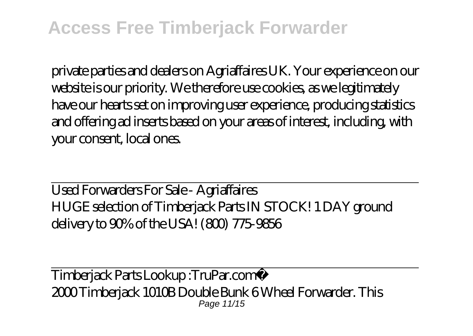private parties and dealers on Agriaffaires UK. Your experience on our website is our priority. We therefore use cookies, as we legitimately have our hearts set on improving user experience, producing statistics and offering ad inserts based on your areas of interest, including, with your consent, local ones.

Used Forwarders For Sale - Agriaffaires HUGE selection of Timberjack Parts IN STOCK! 1 DAY ground delivery to 90% of the USA! (800) 775-9856

Timberjack Parts Lookup :TruPar.com® 2000 Timberiack 1010B Double Bunk 6 Wheel Forwarder. This Page 11/15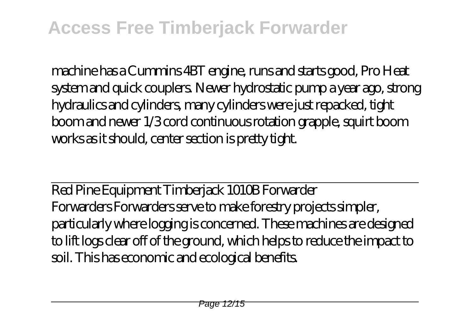machine has a Cummins 4BT engine, runs and starts good, Pro Heat system and quick couplers. Newer hydrostatic pump a year ago, strong hydraulics and cylinders, many cylinders were just repacked, tight boom and newer 1/3 cord continuous rotation grapple, squirt boom works as it should, center section is pretty tight.

Red Pine Equipment Timberjack 1010B Forwarder Forwarders Forwarders serve to make forestry projects simpler, particularly where logging is concerned. These machines are designed to lift logs clear off of the ground, which helps to reduce the impact to soil. This has economic and ecological benefits.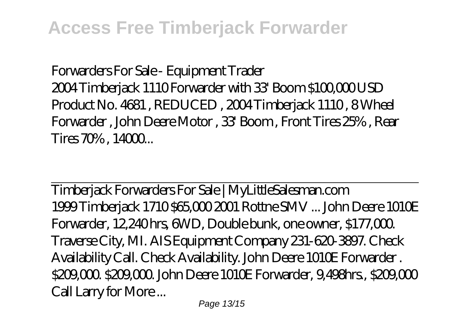Forwarders For Sale - Equipment Trader 2004 Timberjack 1110 Forwarder with 33' Boom \$100,000 USD Product No. 4681 , REDUCED , 2004 Timberjack 1110 , 8 Wheel Forwarder , John Deere Motor , 33' Boom , Front Tires 25% , Rear  $T$ ires  $70%$ .  $14000...$ 

Timberjack Forwarders For Sale | MyLittleSalesman.com 1999 Timberjack 1710 \$65,000 2001 Rottne SMV ... John Deere 1010E Forwarder, 12,240 hrs, 6WD, Double bunk, one owner, \$177,000. Traverse City, MI. AIS Equipment Company 231-620-3897. Check Availability Call. Check Availability. John Deere 1010E Forwarder . \$209,000. \$209,000. John Deere 1010E Forwarder, 9,498hrs., \$209,000 Call Larry for More ...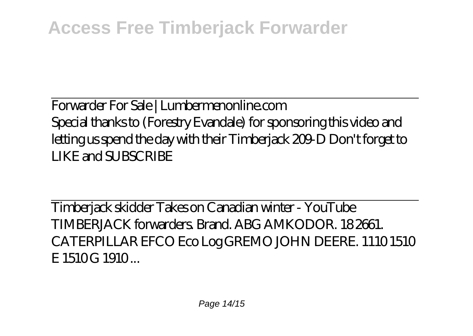Forwarder For Sale | Lumbermenonline.com Special thanks to (Forestry Evandale) for sponsoring this video and letting us spend the day with their Timberjack 209-D Don't forget to LIKE and SUBSCRIBE

Timberjack skidder Takes on Canadian winter - YouTube TIMBERJACK forwarders. Brand. ABG AMKODOR. 18 2661. CATERPILLAR EFCO Eco Log GREMO JOHN DEERE. 1110 1510 E 1510G 1910